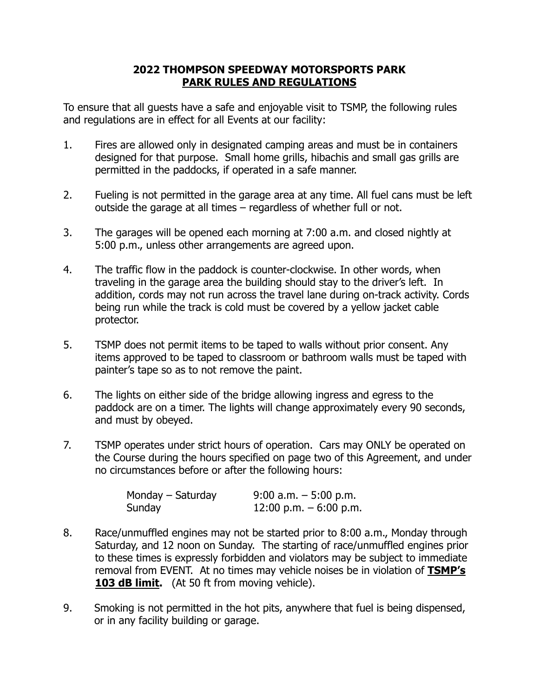## **2022 THOMPSON SPEEDWAY MOTORSPORTS PARK PARK RULES AND REGULATIONS**

To ensure that all guests have a safe and enjoyable visit to TSMP, the following rules and regulations are in effect for all Events at our facility:

- 1. Fires are allowed only in designated camping areas and must be in containers designed for that purpose. Small home grills, hibachis and small gas grills are permitted in the paddocks, if operated in a safe manner.
- 2. Fueling is not permitted in the garage area at any time. All fuel cans must be left outside the garage at all times – regardless of whether full or not.
- 3. The garages will be opened each morning at 7:00 a.m. and closed nightly at 5:00 p.m., unless other arrangements are agreed upon.
- 4. The traffic flow in the paddock is counter-clockwise. In other words, when traveling in the garage area the building should stay to the driver's left. In addition, cords may not run across the travel lane during on-track activity. Cords being run while the track is cold must be covered by a yellow jacket cable protector.
- 5. TSMP does not permit items to be taped to walls without prior consent. Any items approved to be taped to classroom or bathroom walls must be taped with painter's tape so as to not remove the paint.
- 6. The lights on either side of the bridge allowing ingress and egress to the paddock are on a timer. The lights will change approximately every 90 seconds, and must by obeyed.
- 7. TSMP operates under strict hours of operation. Cars may ONLY be operated on the Course during the hours specified on page two of this Agreement, and under no circumstances before or after the following hours:

| Monday – Saturday | $9:00$ a.m. $-5:00$ p.m. |
|-------------------|--------------------------|
| Sunday            | 12:00 p.m. $-6:00$ p.m.  |

- 8. Race/unmuffled engines may not be started prior to 8:00 a.m., Monday through Saturday, and 12 noon on Sunday. The starting of race/unmuffled engines prior to these times is expressly forbidden and violators may be subject to immediate removal from EVENT. At no times may vehicle noises be in violation of **TSMP's 103 dB limit.** (At 50 ft from moving vehicle).
- 9. Smoking is not permitted in the hot pits, anywhere that fuel is being dispensed, or in any facility building or garage.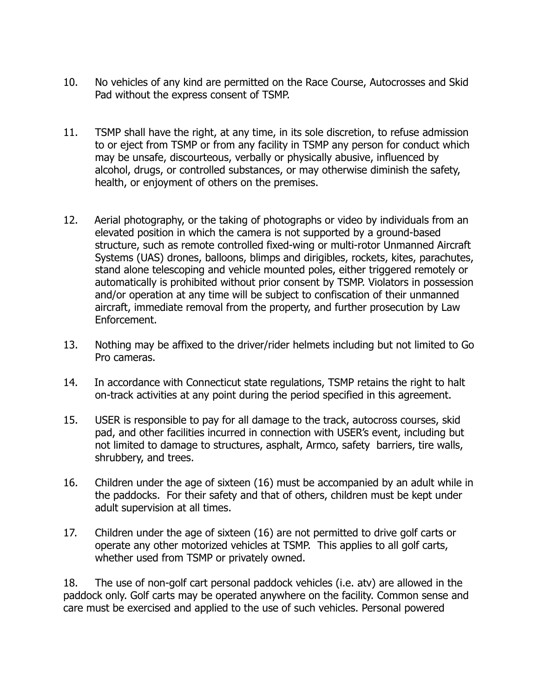- 10. No vehicles of any kind are permitted on the Race Course, Autocrosses and Skid Pad without the express consent of TSMP.
- 11. TSMP shall have the right, at any time, in its sole discretion, to refuse admission to or eject from TSMP or from any facility in TSMP any person for conduct which may be unsafe, discourteous, verbally or physically abusive, influenced by alcohol, drugs, or controlled substances, or may otherwise diminish the safety, health, or enjoyment of others on the premises.
- 12. Aerial photography, or the taking of photographs or video by individuals from an elevated position in which the camera is not supported by a ground-based structure, such as remote controlled fixed-wing or multi-rotor Unmanned Aircraft Systems (UAS) drones, balloons, blimps and dirigibles, rockets, kites, parachutes, stand alone telescoping and vehicle mounted poles, either triggered remotely or automatically is prohibited without prior consent by TSMP. Violators in possession and/or operation at any time will be subject to confiscation of their unmanned aircraft, immediate removal from the property, and further prosecution by Law Enforcement.
- 13. Nothing may be affixed to the driver/rider helmets including but not limited to Go Pro cameras.
- 14. In accordance with Connecticut state regulations, TSMP retains the right to halt on-track activities at any point during the period specified in this agreement.
- 15. USER is responsible to pay for all damage to the track, autocross courses, skid pad, and other facilities incurred in connection with USER's event, including but not limited to damage to structures, asphalt, Armco, safety barriers, tire walls, shrubbery, and trees.
- 16. Children under the age of sixteen (16) must be accompanied by an adult while in the paddocks. For their safety and that of others, children must be kept under adult supervision at all times.
- 17. Children under the age of sixteen (16) are not permitted to drive golf carts or operate any other motorized vehicles at TSMP. This applies to all golf carts, whether used from TSMP or privately owned.

18. The use of non-golf cart personal paddock vehicles (i.e. atv) are allowed in the paddock only. Golf carts may be operated anywhere on the facility. Common sense and care must be exercised and applied to the use of such vehicles. Personal powered